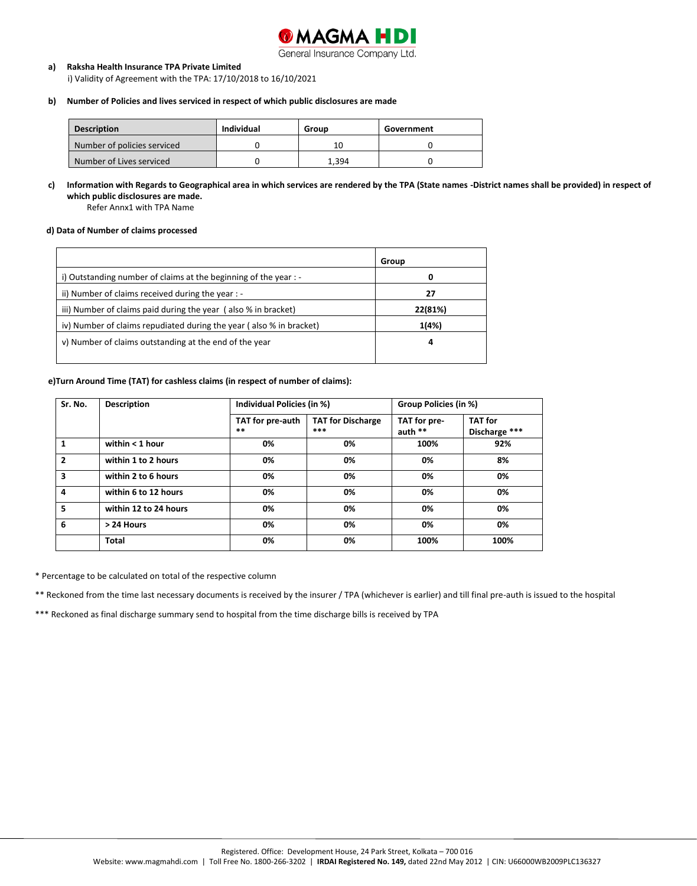

### General Insurance Company Ltd.

#### **a) Raksha Health Insurance TPA Private Limited**

i) Validity of Agreement with the TPA: 17/10/2018 to 16/10/2021

## **b) Number of Policies and lives serviced in respect of which public disclosures are made**

| <b>Description</b>          | Individual | Group | Government |
|-----------------------------|------------|-------|------------|
| Number of policies serviced |            |       |            |
| Number of Lives serviced    |            | 1.394 |            |

# **c) Information with Regards to Geographical area in which services are rendered by the TPA (State names -District names shall be provided) in respect of which public disclosures are made.**

Refer Annx1 with TPA Name

#### **d) Data of Number of claims processed**

|                                                                     | Group   |
|---------------------------------------------------------------------|---------|
| i) Outstanding number of claims at the beginning of the year : -    | 0       |
| ii) Number of claims received during the year : -                   | 27      |
| iii) Number of claims paid during the year (also % in bracket)      | 22(81%) |
| iv) Number of claims repudiated during the year (also % in bracket) | 1(4%)   |
| v) Number of claims outstanding at the end of the year              | 4       |

#### **e)Turn Around Time (TAT) for cashless claims (in respect of number of claims):**

| Sr. No.        | <b>Description</b>    | Individual Policies (in %) |                                 | Group Policies (in %)     |                                 |  |
|----------------|-----------------------|----------------------------|---------------------------------|---------------------------|---------------------------------|--|
|                |                       | TAT for pre-auth<br>$***$  | <b>TAT for Discharge</b><br>*** | TAT for pre-<br>auth $**$ | <b>TAT</b> for<br>Discharge *** |  |
|                | within $<$ 1 hour     | 0%                         | 0%                              | 100%                      | 92%                             |  |
| $\overline{2}$ | within 1 to 2 hours   | 0%                         | 0%                              | 0%                        | 8%                              |  |
| 3              | within 2 to 6 hours   | 0%                         | 0%                              | 0%                        | 0%                              |  |
| 4              | within 6 to 12 hours  | 0%                         | 0%                              | 0%                        | 0%                              |  |
| 5              | within 12 to 24 hours | 0%                         | 0%                              | 0%                        | 0%                              |  |
| 6              | > 24 Hours            | 0%                         | 0%                              | 0%                        | 0%                              |  |
|                | Total                 | 0%                         | 0%                              | 100%                      | 100%                            |  |

\* Percentage to be calculated on total of the respective column

\*\* Reckoned from the time last necessary documents is received by the insurer / TPA (whichever is earlier) and till final pre-auth is issued to the hospital

\*\*\* Reckoned as final discharge summary send to hospital from the time discharge bills is received by TPA